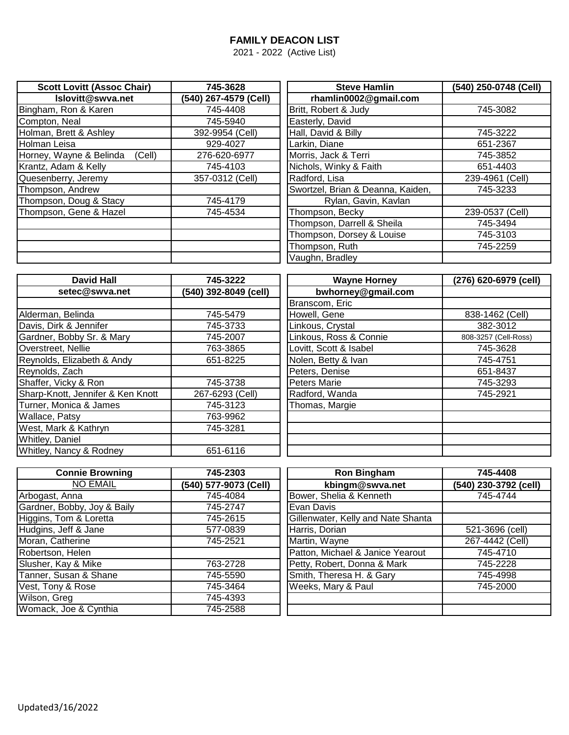## **FAMILY DEACON LIST**

2021 - 2022 (Active List)

| <b>Scott Lovitt (Assoc Chair)</b> | 745-3628              | <b>Steve Hamlin</b>               | (540) 250-0748 (Cell) |
|-----------------------------------|-----------------------|-----------------------------------|-----------------------|
| Islovitt@swva.net                 | (540) 267-4579 (Cell) | rhamlin0002@gmail.com             |                       |
| Bingham, Ron & Karen              | 745-4408              | Britt, Robert & Judy              | 745-3082              |
| Compton, Neal                     | 745-5940              | Easterly, David                   |                       |
| Holman, Brett & Ashley            | 392-9954 (Cell)       | Hall, David & Billy               | 745-3222              |
| Holman Leisa                      | 929-4027              | Larkin, Diane                     | 651-2367              |
| Horney, Wayne & Belinda<br>(Cell) | 276-620-6977          | Morris, Jack & Terri              | 745-3852              |
| Krantz, Adam & Kelly              | 745-4103              | Nichols, Winky & Faith            | 651-4403              |
| Quesenberry, Jeremy               | 357-0312 (Cell)       | Radford, Lisa                     | 239-4961 (Cell)       |
| Thompson, Andrew                  |                       | Swortzel, Brian & Deanna, Kaiden, | 745-3233              |
| Thompson, Doug & Stacy            | 745-4179              | Rylan, Gavin, Kavlan              |                       |
| Thompson, Gene & Hazel            | 745-4534              | Thompson, Becky                   | 239-0537 (Cell)       |
|                                   |                       | Thompson, Darrell & Sheila        | 745-3494              |
|                                   |                       | Thompson, Dorsey & Louise         | 745-3103              |
|                                   |                       | Thompson, Ruth                    | 745-2259              |
|                                   |                       | Vaughn, Bradley                   |                       |

| <b>David Hall</b>                 | 745-3222              | <b>Wayne Horney</b>    | (276) 620-6979 (cell) |
|-----------------------------------|-----------------------|------------------------|-----------------------|
| setec@swva.net                    | (540) 392-8049 (cell) | bwhorney@gmail.com     |                       |
|                                   |                       | Branscom, Eric         |                       |
| Alderman, Belinda                 | 745-5479              | Howell, Gene           | 838-1462 (Cell)       |
| Davis, Dirk & Jennifer            | 745-3733              | Linkous, Crystal       | 382-3012              |
| Gardner, Bobby Sr. & Mary         | 745-2007              | Linkous, Ross & Connie | 808-3257 (Cell-Ross)  |
| Overstreet, Nellie                | 763-3865              | Lovitt, Scott & Isabel | 745-3628              |
| Reynolds, Elizabeth & Andy        | 651-8225              | Nolen, Betty & Ivan    | 745-4751              |
| Reynolds, Zach                    |                       | Peters, Denise         | 651-8437              |
| Shaffer, Vicky & Ron              | 745-3738              | Peters Marie           | 745-3293              |
| Sharp-Knott, Jennifer & Ken Knott | 267-6293 (Cell)       | Radford, Wanda         | 745-2921              |
| Turner, Monica & James            | 745-3123              | Thomas, Margie         |                       |
| Wallace, Patsy                    | 763-9962              |                        |                       |
| West, Mark & Kathryn              | 745-3281              |                        |                       |
| Whitley, Daniel                   |                       |                        |                       |
| Whitley, Nancy & Rodney           | 651-6116              |                        |                       |

| <b>Connie Browning</b>      | 745-2303              | <b>Ron Bingham</b>                 | 745-4408              |
|-----------------------------|-----------------------|------------------------------------|-----------------------|
| <b>NO EMAIL</b>             | (540) 577-9073 (Cell) | kbingm@swva.net                    | (540) 230-3792 (cell) |
| Arbogast, Anna              | 745-4084              | Bower, Shelia & Kenneth            | 745-4744              |
| Gardner, Bobby, Joy & Baily | 745-2747              | Evan Davis                         |                       |
| Higgins, Tom & Loretta      | 745-2615              | Gillenwater, Kelly and Nate Shanta |                       |
| Hudgins, Jeff & Jane        | 577-0839              | Harris, Dorian                     | 521-3696 (cell)       |
| Moran, Catherine            | 745-2521              | Martin, Wayne                      | 267-4442 (Cell)       |
| Robertson, Helen            |                       | Patton, Michael & Janice Yearout   | 745-4710              |
| Slusher, Kay & Mike         | 763-2728              | Petty, Robert, Donna & Mark        | 745-2228              |
| Tanner, Susan & Shane       | 745-5590              | Smith, Theresa H. & Gary           | 745-4998              |
| Vest, Tony & Rose           | 745-3464              | Weeks, Mary & Paul                 | 745-2000              |
| Wilson, Greg                | 745-4393              |                                    |                       |
| Womack, Joe & Cynthia       | 745-2588              |                                    |                       |